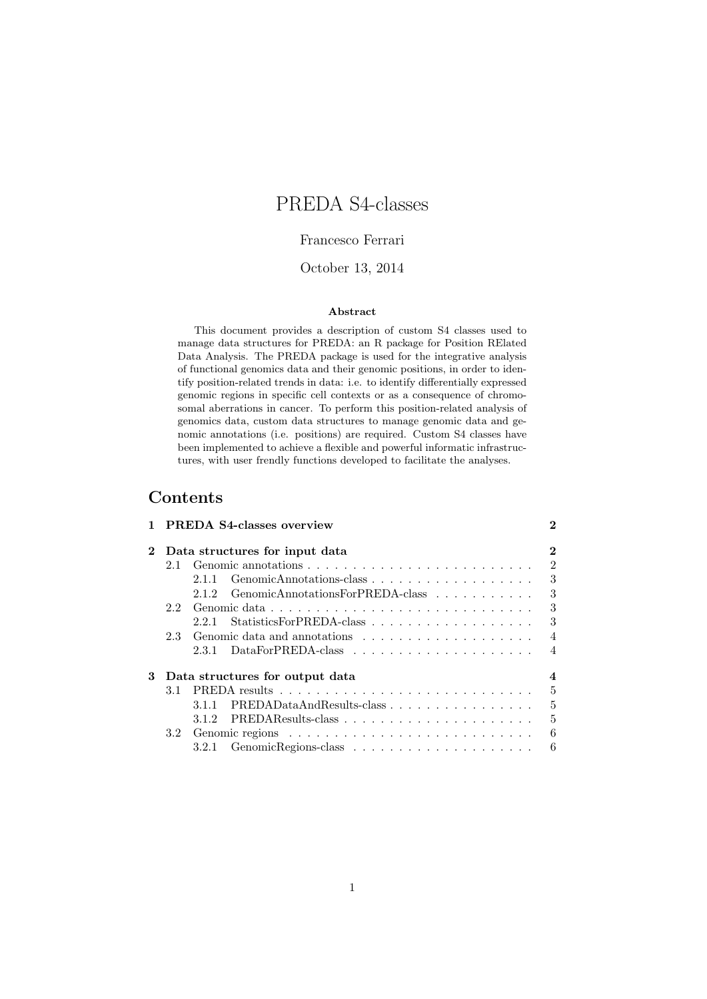# PREDA S4-classes

## Francesco Ferrari

## October 13, 2014

### Abstract

This document provides a description of custom S4 classes used to manage data structures for PREDA: an R package for Position RElated Data Analysis. The PREDA package is used for the integrative analysis of functional genomics data and their genomic positions, in order to identify position-related trends in data: i.e. to identify differentially expressed genomic regions in specific cell contexts or as a consequence of chromosomal aberrations in cancer. To perform this position-related analysis of genomics data, custom data structures to manage genomic data and genomic annotations (i.e. positions) are required. Custom S4 classes have been implemented to achieve a flexible and powerful informatic infrastructures, with user frendly functions developed to facilitate the analyses.

## Contents

|             |                                | 1 PREDA S4-classes overview |                                  |                |
|-------------|--------------------------------|-----------------------------|----------------------------------|----------------|
| $2^{\circ}$ | Data structures for input data |                             |                                  |                |
|             | 2.1                            |                             |                                  | $\overline{2}$ |
|             |                                | 2.1.1                       |                                  | 3              |
|             |                                | 2.1.2                       | GenomicAnnotationsForPREDA-class | 3              |
|             | 2.2                            |                             |                                  | 3              |
|             |                                | 221                         |                                  | 3              |
|             | 2.3                            |                             |                                  | $\overline{4}$ |
|             |                                |                             |                                  | $\overline{4}$ |
| 3           |                                |                             | Data structures for output data  | $\overline{4}$ |
|             | 3.1                            |                             |                                  | 5              |
|             |                                | 3.1.1                       | PREDADataAndResults-class        | 5              |
|             |                                |                             |                                  | 5              |
|             | 3.2                            |                             |                                  | 6              |
|             |                                | 3.2.1                       |                                  | 6              |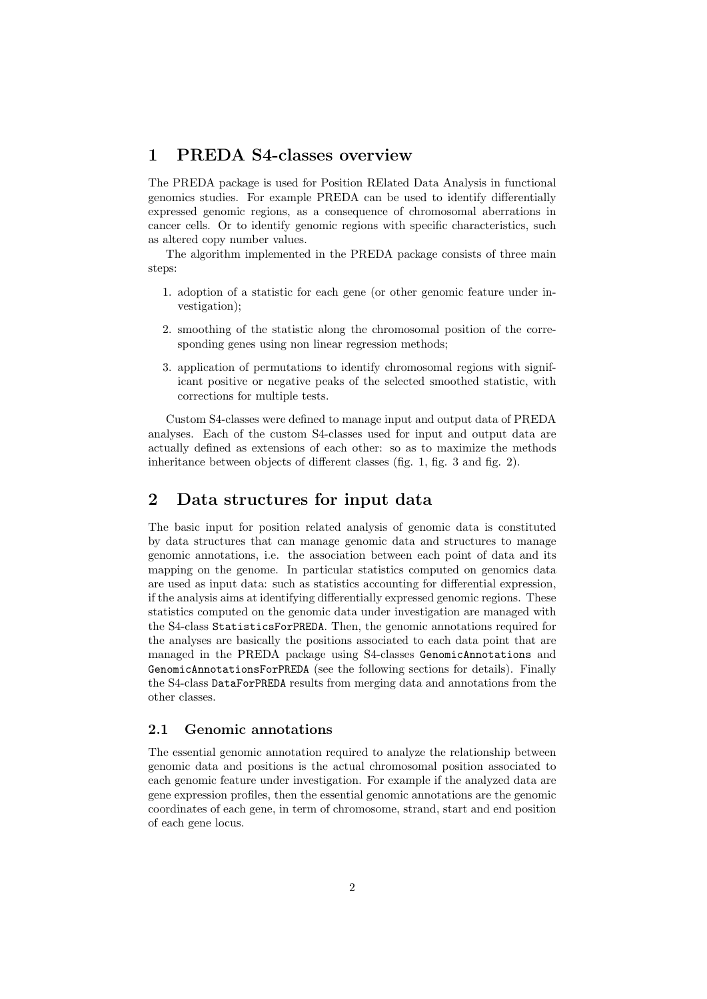## 1 PREDA S4-classes overview

The PREDA package is used for Position RElated Data Analysis in functional genomics studies. For example PREDA can be used to identify differentially expressed genomic regions, as a consequence of chromosomal aberrations in cancer cells. Or to identify genomic regions with specific characteristics, such as altered copy number values.

The algorithm implemented in the PREDA package consists of three main steps:

- 1. adoption of a statistic for each gene (or other genomic feature under investigation);
- 2. smoothing of the statistic along the chromosomal position of the corresponding genes using non linear regression methods;
- 3. application of permutations to identify chromosomal regions with significant positive or negative peaks of the selected smoothed statistic, with corrections for multiple tests.

Custom S4-classes were defined to manage input and output data of PREDA analyses. Each of the custom S4-classes used for input and output data are actually defined as extensions of each other: so as to maximize the methods inheritance between objects of different classes (fig. 1, fig. 3 and fig. 2).

## 2 Data structures for input data

The basic input for position related analysis of genomic data is constituted by data structures that can manage genomic data and structures to manage genomic annotations, i.e. the association between each point of data and its mapping on the genome. In particular statistics computed on genomics data are used as input data: such as statistics accounting for differential expression, if the analysis aims at identifying differentially expressed genomic regions. These statistics computed on the genomic data under investigation are managed with the S4-class StatisticsForPREDA. Then, the genomic annotations required for the analyses are basically the positions associated to each data point that are managed in the PREDA package using S4-classes GenomicAnnotations and GenomicAnnotationsForPREDA (see the following sections for details). Finally the S4-class DataForPREDA results from merging data and annotations from the other classes.

## 2.1 Genomic annotations

The essential genomic annotation required to analyze the relationship between genomic data and positions is the actual chromosomal position associated to each genomic feature under investigation. For example if the analyzed data are gene expression profiles, then the essential genomic annotations are the genomic coordinates of each gene, in term of chromosome, strand, start and end position of each gene locus.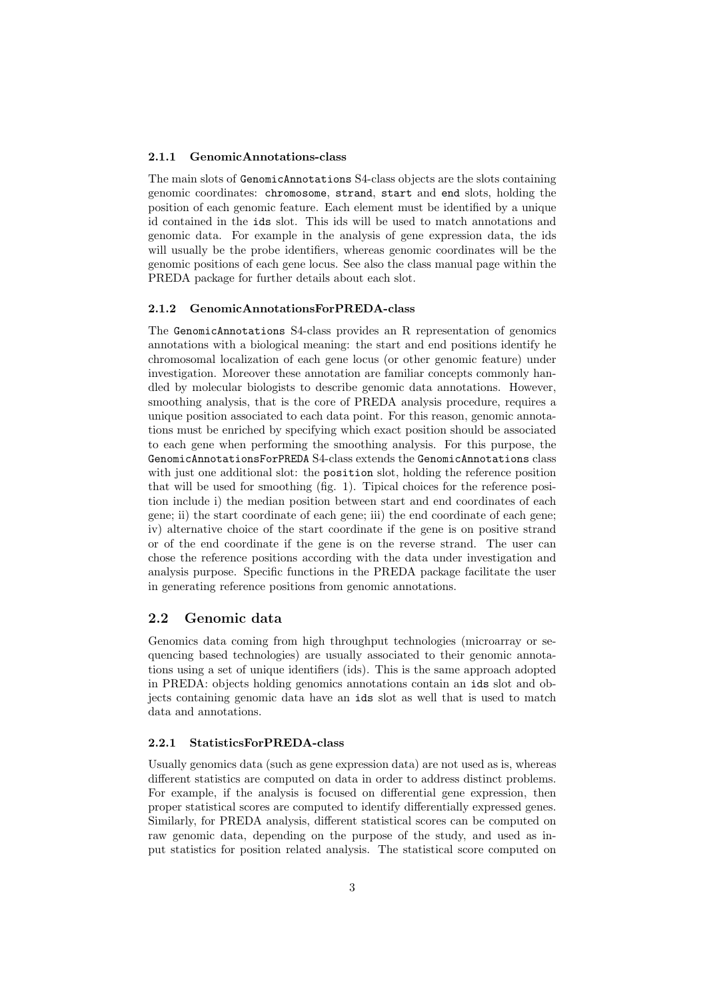#### 2.1.1 GenomicAnnotations-class

The main slots of GenomicAnnotations S4-class objects are the slots containing genomic coordinates: chromosome, strand, start and end slots, holding the position of each genomic feature. Each element must be identified by a unique id contained in the ids slot. This ids will be used to match annotations and genomic data. For example in the analysis of gene expression data, the ids will usually be the probe identifiers, whereas genomic coordinates will be the genomic positions of each gene locus. See also the class manual page within the PREDA package for further details about each slot.

#### 2.1.2 GenomicAnnotationsForPREDA-class

The GenomicAnnotations S4-class provides an R representation of genomics annotations with a biological meaning: the start and end positions identify he chromosomal localization of each gene locus (or other genomic feature) under investigation. Moreover these annotation are familiar concepts commonly handled by molecular biologists to describe genomic data annotations. However, smoothing analysis, that is the core of PREDA analysis procedure, requires a unique position associated to each data point. For this reason, genomic annotations must be enriched by specifying which exact position should be associated to each gene when performing the smoothing analysis. For this purpose, the GenomicAnnotationsForPREDA S4-class extends the GenomicAnnotations class with just one additional slot: the position slot, holding the reference position that will be used for smoothing (fig. 1). Tipical choices for the reference position include i) the median position between start and end coordinates of each gene; ii) the start coordinate of each gene; iii) the end coordinate of each gene; iv) alternative choice of the start coordinate if the gene is on positive strand or of the end coordinate if the gene is on the reverse strand. The user can chose the reference positions according with the data under investigation and analysis purpose. Specific functions in the PREDA package facilitate the user in generating reference positions from genomic annotations.

## 2.2 Genomic data

Genomics data coming from high throughput technologies (microarray or sequencing based technologies) are usually associated to their genomic annotations using a set of unique identifiers (ids). This is the same approach adopted in PREDA: objects holding genomics annotations contain an ids slot and objects containing genomic data have an ids slot as well that is used to match data and annotations.

### 2.2.1 StatisticsForPREDA-class

Usually genomics data (such as gene expression data) are not used as is, whereas different statistics are computed on data in order to address distinct problems. For example, if the analysis is focused on differential gene expression, then proper statistical scores are computed to identify differentially expressed genes. Similarly, for PREDA analysis, different statistical scores can be computed on raw genomic data, depending on the purpose of the study, and used as input statistics for position related analysis. The statistical score computed on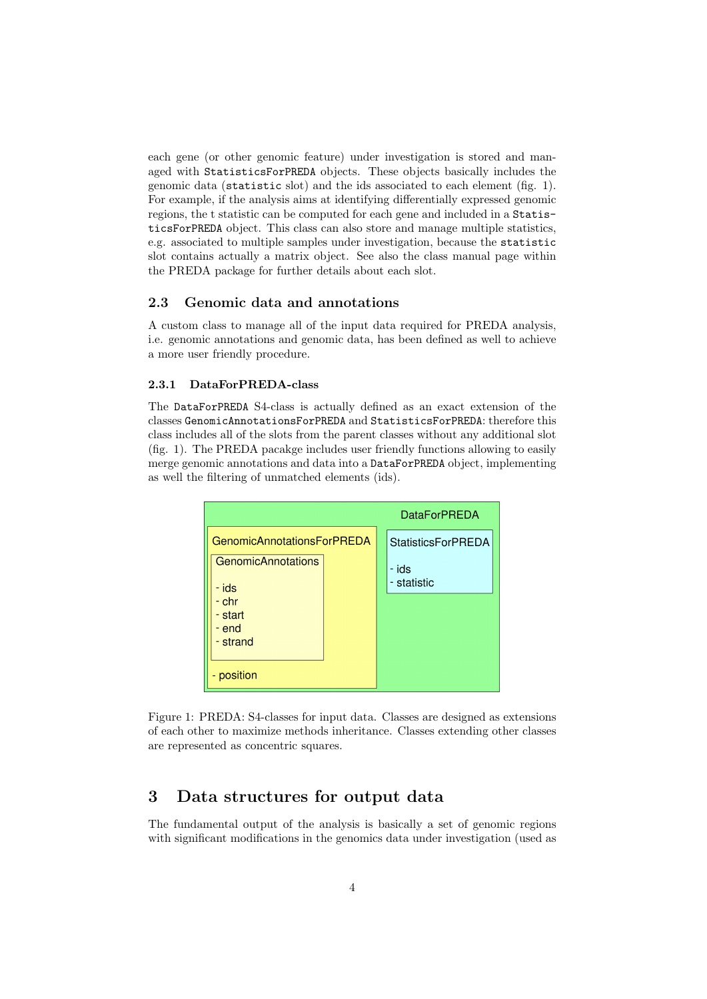each gene (or other genomic feature) under investigation is stored and managed with StatisticsForPREDA objects. These objects basically includes the genomic data (statistic slot) and the ids associated to each element (fig. 1). For example, if the analysis aims at identifying differentially expressed genomic regions, the t statistic can be computed for each gene and included in a StatisticsForPREDA object. This class can also store and manage multiple statistics, e.g. associated to multiple samples under investigation, because the statistic slot contains actually a matrix object. See also the class manual page within the PREDA package for further details about each slot.

## 2.3 Genomic data and annotations

A custom class to manage all of the input data required for PREDA analysis, i.e. genomic annotations and genomic data, has been defined as well to achieve a more user friendly procedure.

#### 2.3.1 DataForPREDA-class

The DataForPREDA S4-class is actually defined as an exact extension of the classes GenomicAnnotationsForPREDA and StatisticsForPREDA: therefore this class includes all of the slots from the parent classes without any additional slot (fig. 1). The PREDA pacakge includes user friendly functions allowing to easily merge genomic annotations and data into a DataForPREDA object, implementing as well the filtering of unmatched elements (ids).



Figure 1: PREDA: S4-classes for input data. Classes are designed as extensions of each other to maximize methods inheritance. Classes extending other classes are represented as concentric squares.

## 3 Data structures for output data

The fundamental output of the analysis is basically a set of genomic regions with significant modifications in the genomics data under investigation (used as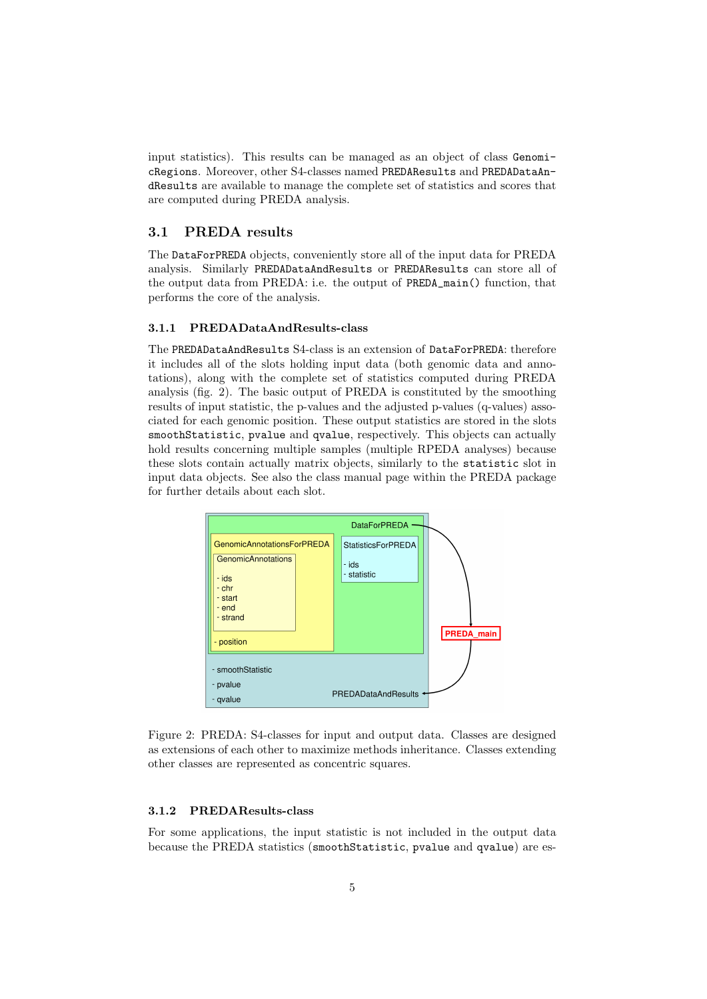input statistics). This results can be managed as an object of class GenomicRegions. Moreover, other S4-classes named PREDAResults and PREDADataAndResults are available to manage the complete set of statistics and scores that are computed during PREDA analysis.

## 3.1 PREDA results

The DataForPREDA objects, conveniently store all of the input data for PREDA analysis. Similarly PREDADataAndResults or PREDAResults can store all of the output data from PREDA: i.e. the output of PREDA\_main() function, that performs the core of the analysis.

#### 3.1.1 PREDADataAndResults-class

The PREDADataAndResults S4-class is an extension of DataForPREDA: therefore it includes all of the slots holding input data (both genomic data and annotations), along with the complete set of statistics computed during PREDA analysis (fig. 2). The basic output of PREDA is constituted by the smoothing results of input statistic, the p-values and the adjusted p-values (q-values) associated for each genomic position. These output statistics are stored in the slots smoothStatistic, pvalue and qvalue, respectively. This objects can actually hold results concerning multiple samples (multiple RPEDA analyses) because these slots contain actually matrix objects, similarly to the statistic slot in input data objects. See also the class manual page within the PREDA package for further details about each slot.



Figure 2: PREDA: S4-classes for input and output data. Classes are designed as extensions of each other to maximize methods inheritance. Classes extending other classes are represented as concentric squares.

### 3.1.2 PREDAResults-class

For some applications, the input statistic is not included in the output data because the PREDA statistics (smoothStatistic, pvalue and qvalue) are es